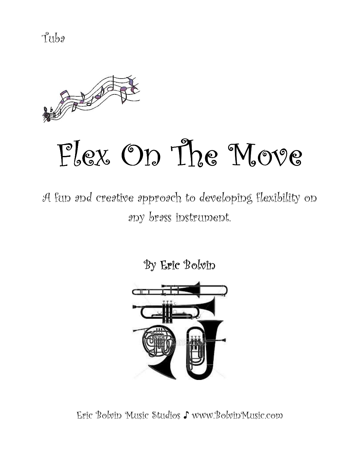Tuba



# Flex On The Move

A fun and creative approach to developing flexibility on any brass instrument.

By Eric Bolvin



Eric Bolvin Music Studios ♪ www.BolvinMusic.com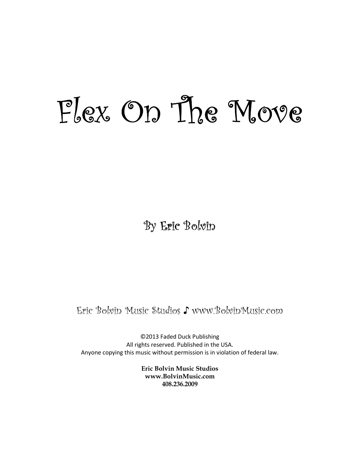## Flex On The Move Move

By Eric Bolvin

Eric Bolvin Music Studios ♪ www.BolvinMusic.com

©2013 Faded Duck Publishing All rights reserved. Published in the USA. Anyone copying this music without permission is in violation of federal law.

> Eric Bolvin Music Studios www.BolvinMusic.com 408.236.2009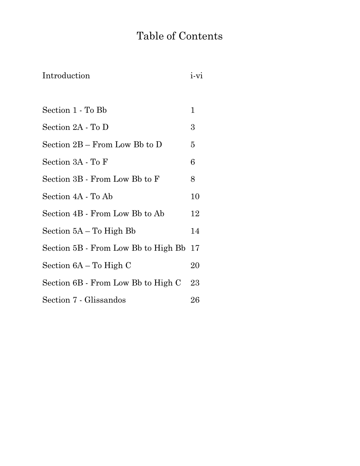### Table of Contents

| Introduction                        | i-vi   |
|-------------------------------------|--------|
|                                     |        |
| Section 1 - To Bb                   | 1      |
| Section 2A - To D                   | 3      |
| Section 2B – From Low Bb to D       | 5      |
| Section 3A - To F                   | 6      |
| Section 3B - From Low Bb to F       | 8      |
| Section 4A - To Ab                  | 10     |
| Section 4B - From Low Bb to Ab      | 12     |
| Section 5A – To High Bb             | 14     |
| Section 5B - From Low Bb to High Bb | 17     |
| Section 6A – To High C              | 20     |
| Section 6B - From Low Bb to High C  | 23     |
| Section 7 - Glissandos              | $26\,$ |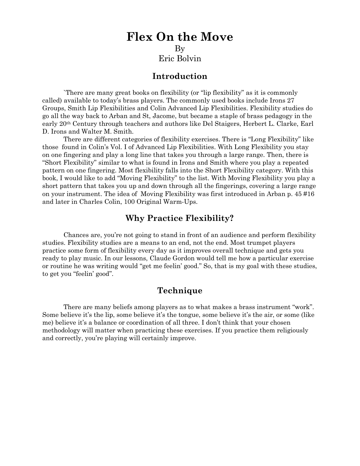#### Flex On the Move By Eric Bolvin

#### Introduction

`There are many great books on flexibility (or "lip flexibility" as it is commonly called) available to today's brass players. The commonly used books include Irons 27 Groups, Smith Lip Flexibilities and Colin Advanced Lip Flexibilities. Flexibility studies do go all the way back to Arban and St, Jacome, but became a staple of brass pedagogy in the early 20th Century through teachers and authors like Del Staigers, Herbert L. Clarke, Earl D. Irons and Walter M. Smith.

There are different categories of flexibility exercises. There is "Long Flexibility" like those found in Colin's Vol. I of Advanced Lip Flexibilities. With Long Flexibility you stay on one fingering and play a long line that takes you through a large range. Then, there is "Short Flexibility" similar to what is found in Irons and Smith where you play a repeated pattern on one fingering. Most flexibility falls into the Short Flexibility category. With this book, I would like to add "Moving Flexibility" to the list. With Moving Flexibility you play a short pattern that takes you up and down through all the fingerings, covering a large range on your instrument. The idea of Moving Flexibility was first introduced in Arban p. 45 #16 and later in Charles Colin, 100 Original Warm-Ups.

#### Why Practice Flexibility?

Chances are, you're not going to stand in front of an audience and perform flexibility studies. Flexibility studies are a means to an end, not the end. Most trumpet players practice some form of flexibility every day as it improves overall technique and gets you ready to play music. In our lessons, Claude Gordon would tell me how a particular exercise or routine he was writing would "get me feelin' good." So, that is my goal with these studies, to get you "feelin' good".

#### Technique

There are many beliefs among players as to what makes a brass instrument "work". Some believe it's the lip, some believe it's the tongue, some believe it's the air, or some (like me) believe it's a balance or coordination of all three. I don't think that your chosen methodology will matter when practicing these exercises. If you practice them religiously and correctly, you're playing will certainly improve.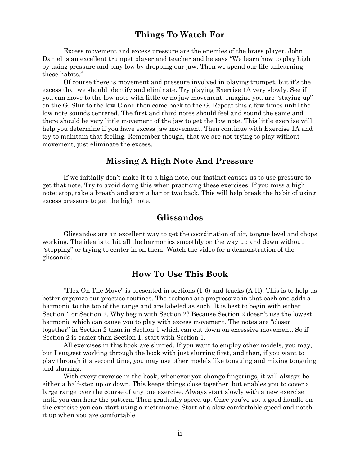#### Things To Watch For

Excess movement and excess pressure are the enemies of the brass player. John Daniel is an excellent trumpet player and teacher and he says "We learn how to play high by using pressure and play low by dropping our jaw. Then we spend our life unlearning these habits."

Of course there is movement and pressure involved in playing trumpet, but it's the excess that we should identify and eliminate. Try playing Exercise 1A very slowly. See if you can move to the low note with little or no jaw movement. Imagine you are "staying up" on the G. Slur to the low C and then come back to the G. Repeat this a few times until the low note sounds centered. The first and third notes should feel and sound the same and there should be very little movement of the jaw to get the low note. This little exercise will help you determine if you have excess jaw movement. Then continue with Exercise 1A and try to maintain that feeling. Remember though, that we are not trying to play without movement, just eliminate the excess.

#### Missing A High Note And Pressure

If we initially don't make it to a high note, our instinct causes us to use pressure to get that note. Try to avoid doing this when practicing these exercises. If you miss a high note; stop, take a breath and start a bar or two back. This will help break the habit of using excess pressure to get the high note.

#### Glissandos

Glissandos are an excellent way to get the coordination of air, tongue level and chops working. The idea is to hit all the harmonics smoothly on the way up and down without "stopping" or trying to center in on them. Watch the video for a demonstration of the glissando.

#### How To Use This Book

"Flex On The Move" is presented in sections (1-6) and tracks (A-H). This is to help us better organize our practice routines. The sections are progressive in that each one adds a harmonic to the top of the range and are labeled as such. It is best to begin with either Section 1 or Section 2. Why begin with Section 2? Because Section 2 doesn't use the lowest harmonic which can cause you to play with excess movement. The notes are "closer together" in Section 2 than in Section 1 which can cut down on excessive movement. So if Section 2 is easier than Section 1, start with Section 1.

All exercises in this book are slurred. If you want to employ other models, you may, but I suggest working through the book with just slurring first, and then, if you want to play through it a second time, you may use other models like tonguing and mixing tonguing and slurring.

With every exercise in the book, whenever you change fingerings, it will always be either a half-step up or down. This keeps things close together, but enables you to cover a large range over the course of any one exercise. Always start slowly with a new exercise until you can hear the pattern. Then gradually speed up. Once you've got a good handle on the exercise you can start using a metronome. Start at a slow comfortable speed and notch it up when you are comfortable.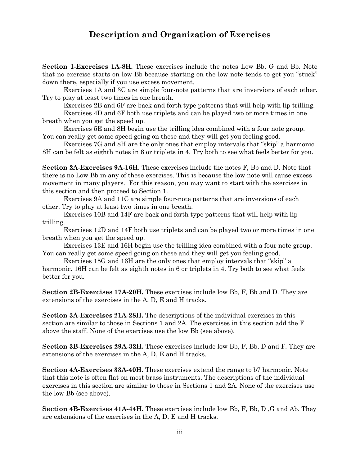#### Description and Organization of Exercises

Section 1-Exercises 1A-8H. These exercises include the notes Low Bb, G and Bb. Note that no exercise starts on low Bb because starting on the low note tends to get you "stuck" down there, especially if you use excess movement.

Exercises 1A and 3C are simple four-note patterns that are inversions of each other. Try to play at least two times in one breath.

Exercises 2B and 6F are back and forth type patterns that will help with lip trilling.

Exercises 4D and 6F both use triplets and can be played two or more times in one breath when you get the speed up.

Exercises 5E and 8H begin use the trilling idea combined with a four note group. You can really get some speed going on these and they will get you feeling good.

Exercises 7G and 8H are the only ones that employ intervals that "skip" a harmonic. 8H can be felt as eighth notes in 6 or triplets in 4. Try both to see what feels better for you.

Section 2A-Exercises 9A-16H. These exercises include the notes F, Bb and D. Note that there is no Low Bb in any of these exercises. This is because the low note will cause excess movement in many players. For this reason, you may want to start with the exercises in this section and then proceed to Section 1.

 Exercises 9A and 11C are simple four-note patterns that are inversions of each other. Try to play at least two times in one breath.

 Exercises 10B and 14F are back and forth type patterns that will help with lip trilling.

Exercises 12D and 14F both use triplets and can be played two or more times in one breath when you get the speed up.

Exercises 13E and 16H begin use the trilling idea combined with a four note group. You can really get some speed going on these and they will get you feeling good.

Exercises 15G and 16H are the only ones that employ intervals that "skip" a harmonic. 16H can be felt as eighth notes in 6 or triplets in 4. Try both to see what feels better for you.

Section 2B-Exercises 17A-20H. These exercises include low Bb, F, Bb and D. They are extensions of the exercises in the A, D, E and H tracks.

Section 3A-Exercises 21A-28H. The descriptions of the individual exercises in this section are similar to those in Sections 1 and 2A. The exercises in this section add the F above the staff. None of the exercises use the low Bb (see above).

Section 3B-Exercises 29A-32H. These exercises include low Bb, F, Bb, D and F. They are extensions of the exercises in the A, D, E and H tracks.

Section 4A-Exercises 33A-40H. These exercises extend the range to b7 harmonic. Note that this note is often flat on most brass instruments. The descriptions of the individual exercises in this section are similar to those in Sections 1 and 2A. None of the exercises use the low Bb (see above).

Section 4B-Exercises 41A-44H. These exercises include low Bb, F, Bb, D ,G and Ab. They are extensions of the exercises in the A, D, E and H tracks.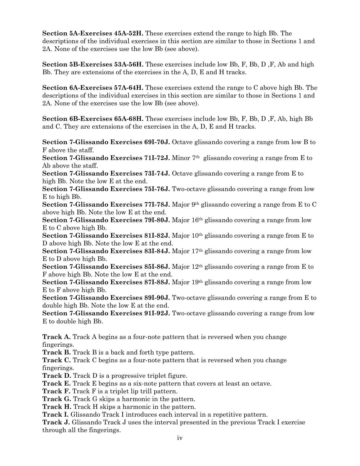Section 5A-Exercises 45A-52H. These exercises extend the range to high Bb. The descriptions of the individual exercises in this section are similar to those in Sections 1 and 2A. None of the exercises use the low Bb (see above).

Section 5B-Exercises 53A-56H. These exercises include low Bb, F, Bb, D ,F, Ab and high Bb. They are extensions of the exercises in the A, D, E and H tracks.

Section 6A-Exercises 57A-64H. These exercises extend the range to C above high Bb. The descriptions of the individual exercises in this section are similar to those in Sections 1 and 2A. None of the exercises use the low Bb (see above).

Section 6B-Exercises 65A-68H. These exercises include low Bb, F, Bb, D ,F, Ab, high Bb and C. They are extensions of the exercises in the A, D, E and H tracks.

Section 7-Glissando Exercises 69I-70J. Octave glissando covering a range from low B to F above the staff.

Section 7-Glissando Exercises 71I-72J. Minor 7th glissando covering a range from E to Ab above the staff.

Section 7-Glissando Exercises 73I-74J. Octave glissando covering a range from E to high Bb. Note the low E at the end.

Section 7-Glissando Exercises 75I-76J. Two-octave glissando covering a range from low E to high Bb.

**Section 7-Glissando Exercises 771-78J.** Major  $9<sup>th</sup>$  glissando covering a range from E to C above high Bb. Note the low E at the end.

Section 7-Glissando Exercises 79I-80J. Major 16th glissando covering a range from low E to C above high Bb.

Section 7-Glissando Exercises 81I-82J. Major 10<sup>th</sup> glissando covering a range from E to D above high Bb. Note the low E at the end.

Section 7-Glissando Exercises 83I-84J. Major 17th glissando covering a range from low E to D above high Bb.

Section 7-Glissando Exercises 85I-86J. Major 12th glissando covering a range from E to F above high Bb. Note the low E at the end.

Section 7-Glissando Exercises 87I-88J. Major 19th glissando covering a range from low E to F above high Bb.

Section 7-Glissando Exercises 89I-90J. Two-octave glissando covering a range from E to double high Bb. Note the low E at the end.

Section 7-Glissando Exercises 91I-92J. Two-octave glissando covering a range from low E to double high Bb.

Track A. Track A begins as a four-note pattern that is reversed when you change fingerings.

Track B. Track B is a back and forth type pattern.

Track C. Track C begins as a four-note pattern that is reversed when you change fingerings.

Track D. Track D is a progressive triplet figure.

Track E. Track E begins as a six-note pattern that covers at least an octave.

Track F. Track F is a triplet lip trill pattern.

Track G. Track G skips a harmonic in the pattern.

Track H. Track H skips a harmonic in the pattern.

Track I. Glissando Track I introduces each interval in a repetitive pattern.

Track J. Glissando Track J uses the interval presented in the previous Track I exercise through all the fingerings.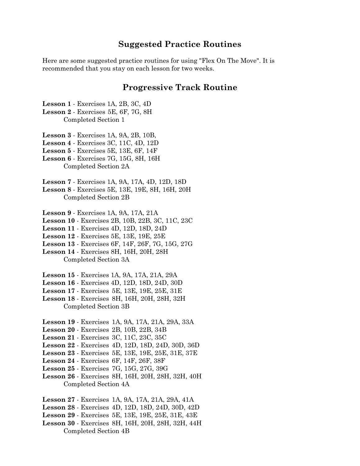#### Suggested Practice Routines

Here are some suggested practice routines for using "Flex On The Move". It is recommended that you stay on each lesson for two weeks.

#### Progressive Track Routine

Lesson 1 - Exercises 1A, 2B, 3C, 4D Lesson 2 - Exercises 5E, 6F, 7G, 8H Completed Section 1

Lesson 3 - Exercises 1A, 9A, 2B, 10B,

Lesson 4 - Exercises 3C, 11C, 4D, 12D

Lesson 5 - Exercises 5E, 13E, 6F, 14F

Lesson 6 - Exercises 7G, 15G, 8H, 16H Completed Section 2A

Lesson 7 - Exercises 1A, 9A, 17A, 4D, 12D, 18D

Lesson 8 - Exercises 5E, 13E, 19E, 8H, 16H, 20H Completed Section 2B

Lesson 9 - Exercises 1A, 9A, 17A, 21A

Lesson 10 - Exercises 2B, 10B, 22B, 3C, 11C, 23C

Lesson 11 - Exercises 4D, 12D, 18D, 24D

Lesson 12 - Exercises 5E, 13E, 19E, 25E

Lesson 13 - Exercises 6F, 14F, 26F, 7G, 15G, 27G

Lesson 14 - Exercises 8H, 16H, 20H, 28H Completed Section 3A

Lesson 15 - Exercises 1A, 9A, 17A, 21A, 29A

Lesson 16 - Exercises 4D, 12D, 18D, 24D, 30D

Lesson 17 - Exercises 5E, 13E, 19E, 25E, 31E

Lesson 18 - Exercises 8H, 16H, 20H, 28H, 32H Completed Section 3B

Lesson 19 - Exercises 1A, 9A, 17A, 21A, 29A, 33A

Lesson 20 - Exercises 2B, 10B, 22B, 34B

Lesson 21 - Exercises 3C, 11C, 23C, 35C

Lesson 22 - Exercises 4D, 12D, 18D, 24D, 30D, 36D

Lesson 23 - Exercises 5E, 13E, 19E, 25E, 31E, 37E

Lesson 24 - Exercises 6F, 14F, 26F, 38F

Lesson 25 - Exercises 7G, 15G, 27G, 39G

Lesson 26 - Exercises 8H, 16H, 20H, 28H, 32H, 40H Completed Section 4A

Lesson 27 - Exercises 1A, 9A, 17A, 21A, 29A, 41A

Lesson 28 - Exercises 4D, 12D, 18D, 24D, 30D, 42D

Lesson 29 - Exercises 5E, 13E, 19E, 25E, 31E, 43E

Lesson 30 - Exercises 8H, 16H, 20H, 28H, 32H, 44H Completed Section 4B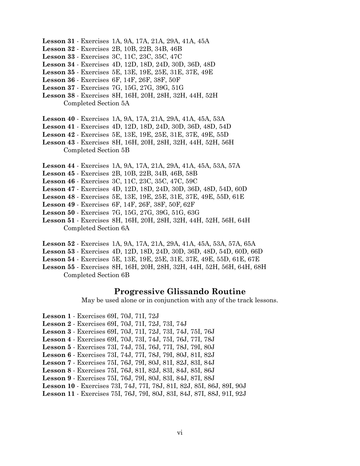- Lesson 31 Exercises 1A, 9A, 17A, 21A, 29A, 41A, 45A
- Lesson 32 Exercises 2B, 10B, 22B, 34B, 46B
- Lesson 33 Exercises 3C, 11C, 23C, 35C, 47C
- Lesson 34 Exercises 4D, 12D, 18D, 24D, 30D, 36D, 48D
- Lesson 35 Exercises 5E, 13E, 19E, 25E, 31E, 37E, 49E
- Lesson 36 Exercises 6F, 14F, 26F, 38F, 50F
- Lesson 37 Exercises 7G, 15G, 27G, 39G, 51G
- Lesson 38 Exercises 8H, 16H, 20H, 28H, 32H, 44H, 52H Completed Section 5A
- Lesson 40 Exercises 1A, 9A, 17A, 21A, 29A, 41A, 45A, 53A
- Lesson 41 Exercises 4D, 12D, 18D, 24D, 30D, 36D, 48D, 54D
- Lesson 42 Exercises 5E, 13E, 19E, 25E, 31E, 37E, 49E, 55D
- Lesson 43 Exercises 8H, 16H, 20H, 28H, 32H, 44H, 52H, 56H Completed Section 5B
- Lesson 44 Exercises 1A, 9A, 17A, 21A, 29A, 41A, 45A, 53A, 57A
- Lesson 45 Exercises 2B, 10B, 22B, 34B, 46B, 58B
- Lesson 46 Exercises 3C, 11C, 23C, 35C, 47C, 59C
- Lesson 47 Exercises 4D, 12D, 18D, 24D, 30D, 36D, 48D, 54D, 60D
- Lesson 48 Exercises 5E, 13E, 19E, 25E, 31E, 37E, 49E, 55D, 61E
- Lesson 49 Exercises 6F, 14F, 26F, 38F, 50F, 62F
- Lesson 50 Exercises 7G, 15G, 27G, 39G, 51G, 63G
- Lesson 51 Exercises 8H, 16H, 20H, 28H, 32H, 44H, 52H, 56H, 64H Completed Section 6A
- Lesson 52 Exercises 1A, 9A, 17A, 21A, 29A, 41A, 45A, 53A, 57A, 65A
- Lesson 53 Exercises 4D, 12D, 18D, 24D, 30D, 36D, 48D, 54D, 60D, 66D
- Lesson 54 Exercises 5E, 13E, 19E, 25E, 31E, 37E, 49E, 55D, 61E, 67E
- Lesson 55 Exercises 8H, 16H, 20H, 28H, 32H, 44H, 52H, 56H, 64H, 68H Completed Section 6B

#### Progressive Glissando Routine

May be used alone or in conjunction with any of the track lessons.

- Lesson 1 Exercises 69I, 70J, 71I, 72J
- Lesson 2 Exercises 69I, 70J, 71I, 72J, 73I, 74J
- Lesson 3 Exercises 69I, 70J, 71I, 72J, 73I, 74J, 75I, 76J
- Lesson 4 Exercises 69I, 70J, 73I, 74J, 75I, 76J, 77I, 78J
- Lesson 5 Exercises 73I, 74J, 75I, 76J, 77I, 78J, 79I, 80J
- Lesson 6 Exercises 73I, 74J, 77I, 78J, 79I, 80J, 81I, 82J
- Lesson 7 Exercises 75I, 76J, 79I, 80J, 81I, 82J, 83I, 84J
- Lesson 8 Exercises 75I, 76J, 81I, 82J, 83I, 84J, 85I, 86J
- Lesson 9 Exercises 75I, 76J, 79I, 80J, 83I, 84J, 87I, 88J
- Lesson 10 Exercises 73I, 74J, 77I, 78J, 81I, 82J, 85I, 86J, 89I, 90J
- Lesson 11 Exercises 75I, 76J, 79I, 80J, 83I, 84J, 87I, 88J, 91I, 92J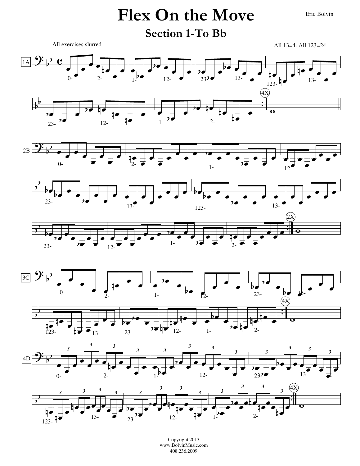### Flex On the Move Eric Bolvin



Copyright 2013 www.BolvinMusic.com 408.236.2009

 $1 - 2$ 

 $rac{1}{123}$ 

œ

œb

 $23 - 12$